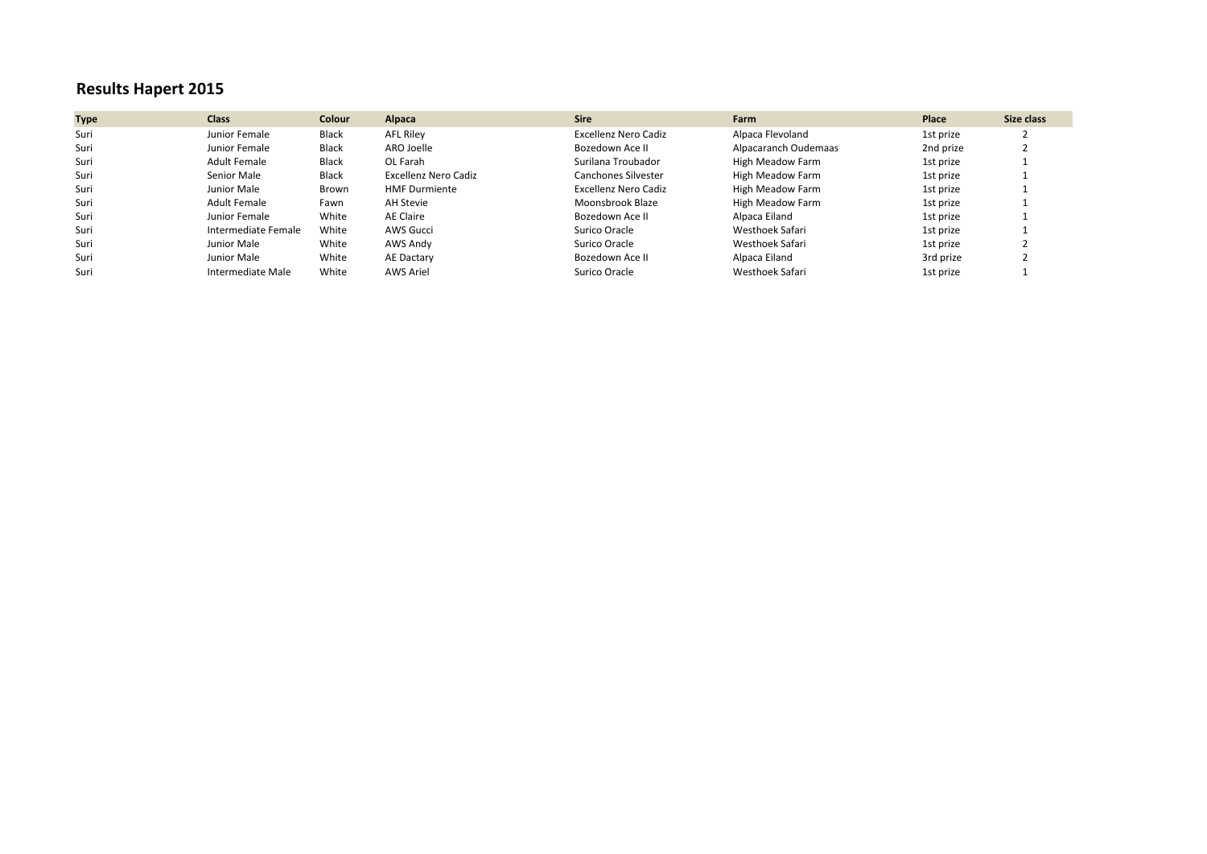# **Results Hapert 2015**

| <b>Type</b> | <b>Class</b>        | <b>Colour</b> | Alpaca               | <b>Sire</b>          | Farm                 | Place     | Size class |
|-------------|---------------------|---------------|----------------------|----------------------|----------------------|-----------|------------|
| Suri        | Junior Female       | Black         | AFL Riley            | Excellenz Nero Cadiz | Alpaca Flevoland     | 1st prize |            |
| Suri        | Junior Female       | Black         | ARO Joelle           | Bozedown Ace II      | Alpacaranch Oudemaas | 2nd prize |            |
| Suri        | Adult Female        | Black         | OL Farah             | Surilana Troubador   | High Meadow Farm     | 1st prize |            |
| Suri        | Senior Male         | Black         | Excellenz Nero Cadiz | Canchones Silvester  | High Meadow Farm     | 1st prize |            |
| Suri        | Junior Male         | Brown         | <b>HMF Durmiente</b> | Excellenz Nero Cadiz | High Meadow Farm     | 1st prize |            |
| Suri        | <b>Adult Female</b> | Fawn          | AH Stevie            | Moonsbrook Blaze     | High Meadow Farm     | 1st prize |            |
| Suri        | Junior Female       | White         | AE Claire            | Bozedown Ace II      | Alpaca Eiland        | 1st prize |            |
| Suri        | Intermediate Female | White         | <b>AWS Gucci</b>     | Surico Oracle        | Westhoek Safari      | 1st prize |            |
| Suri        | Junior Male         | White         | AWS Andy             | Surico Oracle        | Westhoek Safari      | 1st prize |            |
| Suri        | Junior Male         | White         | AE Dactary           | Bozedown Ace II      | Alpaca Eiland        | 3rd prize |            |
| Suri        | Intermediate Male   | White         | AWS Ariel            | Surico Oracle        | Westhoek Safari      | 1st prize |            |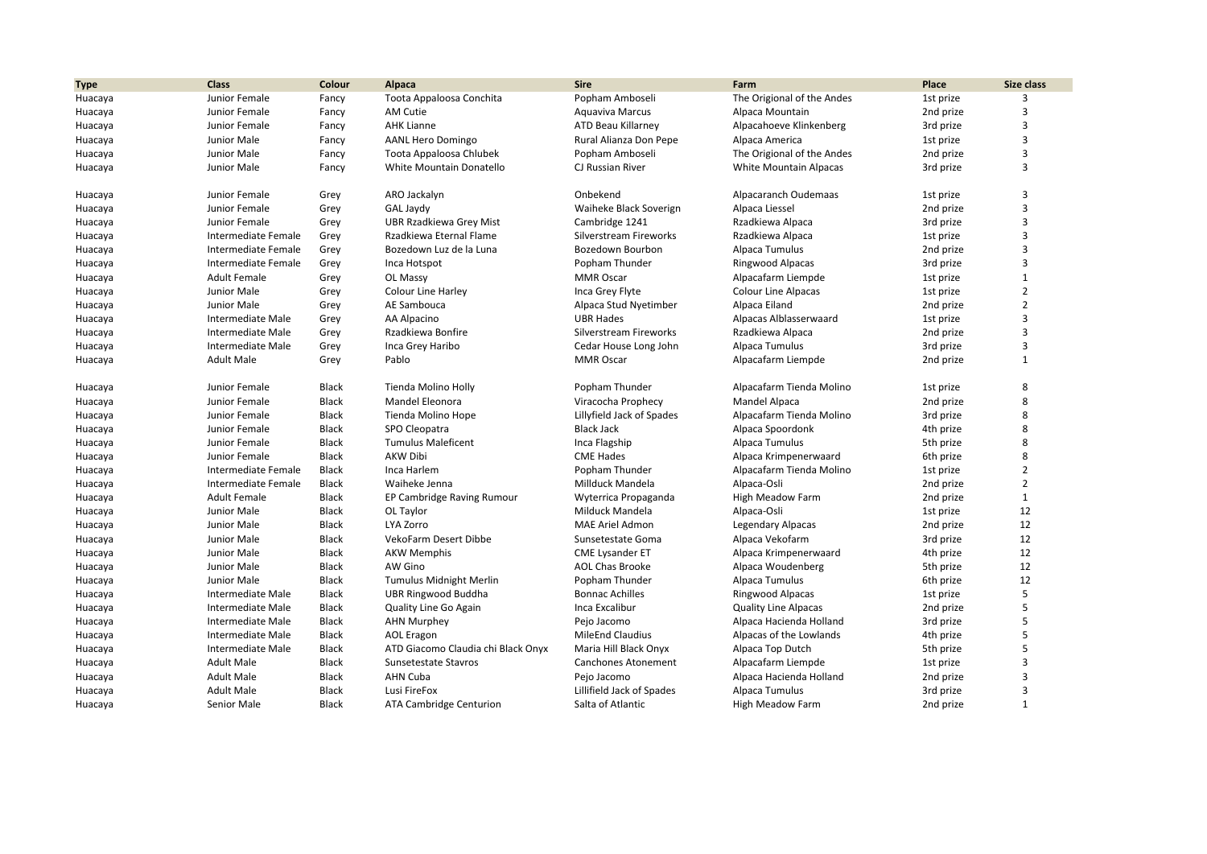| Popham Amboseli<br>The Origional of the Andes<br>3<br>Huacaya<br>Junior Female<br>Toota Appaloosa Conchita<br>1st prize<br>Fancy<br>3<br>Junior Female<br>AM Cutie<br>Aguaviva Marcus<br>Alpaca Mountain<br>Huacaya<br>Fancy<br>2nd prize<br>3<br><b>AHK Lianne</b><br>ATD Beau Killarney<br>Alpacahoeve Klinkenberg<br>3rd prize<br>Junior Female<br>Huacaya<br>Fancy<br>3<br>Junior Male<br><b>AANL Hero Domingo</b><br>Rural Alianza Don Pepe<br>Alpaca America<br>1st prize<br>Huacaya<br>Fancy<br>3<br>Junior Male<br>Popham Amboseli<br>The Origional of the Andes<br>2nd prize<br>Fancy<br>Toota Appaloosa Chlubek<br>Huacaya<br>3<br>Junior Male<br>Fancy<br>White Mountain Donatello<br>CJ Russian River<br><b>White Mountain Alpacas</b><br>3rd prize<br>Huacaya<br>3<br>Alpacaranch Oudemaas<br>Junior Female<br>Grey<br>ARO Jackalyn<br>Onbekend<br>1st prize<br>Huacaya<br>3<br>Waiheke Black Soverign<br>Alpaca Liessel<br>Junior Female<br>Grey<br>GAL Jaydy<br>2nd prize<br>Huacaya<br>3<br>Junior Female<br><b>UBR Rzadkiewa Grey Mist</b><br>Cambridge 1241<br>Rzadkiewa Alpaca<br>Huacaya<br>Grey<br>3rd prize<br>3<br>Intermediate Female<br>Rzadkiewa Eternal Flame<br>Silverstream Fireworks<br>Rzadkiewa Alpaca<br>1st prize<br>Huacaya<br>Grey<br>3<br>Intermediate Female<br>Bozedown Luz de la Luna<br>Bozedown Bourbon<br>Alpaca Tumulus<br>2nd prize<br>Huacaya<br>Grey<br>3<br>Intermediate Female<br>Popham Thunder<br>Grey<br>Inca Hotspot<br>Ringwood Alpacas<br>3rd prize<br>Huacaya<br>$\mathbf{1}$<br><b>Adult Female</b><br>Grey<br>OL Massy<br><b>MMR Oscar</b><br>Alpacafarm Liempde<br>1st prize<br>Huacaya<br>$\overline{2}$<br>Junior Male<br>Colour Line Harley<br>Inca Grey Flyte<br>Colour Line Alpacas<br>Grey<br>1st prize<br>Huacaya<br>$\overline{2}$<br>Junior Male<br>Grey<br>AE Sambouca<br>Alpaca Stud Nyetimber<br>Alpaca Eiland<br>2nd prize<br>Huacaya<br>3<br><b>UBR Hades</b><br>Intermediate Male<br>AA Alpacino<br>Alpacas Alblasserwaard<br>Huacaya<br>Grey<br>1st prize<br>3<br>Intermediate Male<br>Rzadkiewa Bonfire<br>Rzadkiewa Alpaca<br>Grey<br>Silverstream Fireworks<br>2nd prize<br>Huacaya<br>3<br>Intermediate Male<br>Alpaca Tumulus<br>Inca Grey Haribo<br>Cedar House Long John<br>3rd prize<br>Huacaya<br>Grey<br>$\mathbf{1}$<br><b>MMR Oscar</b><br>Alpacafarm Liempde<br>2nd prize<br>Huacaya<br>Adult Male<br>Grey<br>Pablo<br>8<br>Junior Female<br>Black<br>Tienda Molino Holly<br>Popham Thunder<br>Alpacafarm Tienda Molino<br>Huacaya<br>1st prize<br>8<br>Junior Female<br><b>Black</b><br><b>Mandel Eleonora</b><br>Viracocha Prophecy<br>Mandel Alpaca<br>2nd prize<br>Huacaya<br>8<br>Junior Female<br>Black<br>Tienda Molino Hope<br>Lillyfield Jack of Spades<br>Alpacafarm Tienda Molino<br>3rd prize<br>Huacaya<br>8<br>Junior Female<br>Black<br>SPO Cleopatra<br><b>Black Jack</b><br>Alpaca Spoordonk<br>4th prize<br>Huacaya<br>8<br>Junior Female<br><b>Black</b><br><b>Tumulus Maleficent</b><br>Inca Flagship<br>Alpaca Tumulus<br>5th prize<br>Huacaya<br><b>AKW Dibi</b><br>8<br><b>CME Hades</b><br>Junior Female<br>Black<br>Alpaca Krimpenerwaard<br>6th prize<br>Huacaya<br>$\overline{2}$<br>Black<br>Inca Harlem<br>Huacaya<br>Intermediate Female<br>Popham Thunder<br>Alpacafarm Tienda Molino<br>1st prize<br>$\overline{2}$<br>Intermediate Female<br>Black<br>Waiheke Jenna<br>Millduck Mandela<br>Alpaca-Osli<br>2nd prize<br>Huacaya<br>$\mathbf{1}$<br><b>Adult Female</b><br><b>Black</b><br>EP Cambridge Raving Rumour<br>Wyterrica Propaganda<br><b>High Meadow Farm</b><br>2nd prize<br>Huacaya<br>12<br>Junior Male<br><b>Black</b><br>Milduck Mandela<br>OL Taylor<br>Alpaca-Osli<br>1st prize<br>Huacaya<br>12<br>Junior Male<br>LYA Zorro<br><b>MAE Ariel Admon</b><br>Black<br><b>Legendary Alpacas</b><br>2nd prize<br>Huacaya<br><b>VekoFarm Desert Dibbe</b><br>12<br>Junior Male<br>Black<br>Sunsetestate Goma<br>Alpaca Vekofarm<br>Huacaya<br>3rd prize<br>12<br>Junior Male<br><b>AKW Memphis</b><br>Black<br><b>CME Lysander ET</b><br>Alpaca Krimpenerwaard<br>4th prize<br>Huacaya<br>12<br>AW Gino<br>Junior Male<br>Black<br><b>AOL Chas Brooke</b><br>Alpaca Woudenberg<br>5th prize<br>Huacaya<br>12<br>Junior Male<br><b>Black</b><br>Tumulus Midnight Merlin<br>Popham Thunder<br>Alpaca Tumulus<br>6th prize<br>Huacaya<br>5<br><b>Intermediate Male</b><br>Black<br>UBR Ringwood Buddha<br><b>Bonnac Achilles</b><br>Ringwood Alpacas<br>1st prize<br>Huacaya<br>5<br>Intermediate Male<br>Black<br>Inca Excalibur<br><b>Quality Line Alpacas</b><br>2nd prize<br>Huacaya<br>Quality Line Go Again<br>5<br><b>Intermediate Male</b><br><b>Black</b><br>Alpaca Hacienda Holland<br><b>AHN Murphey</b><br>Pejo Jacomo<br>3rd prize<br>Huacaya<br>5<br>Intermediate Male<br>Black<br><b>MileEnd Claudius</b><br>Alpacas of the Lowlands<br>4th prize<br>Huacaya<br>AOL Eragon<br>5<br>Intermediate Male<br><b>Black</b><br>ATD Giacomo Claudia chi Black Onyx<br>Maria Hill Black Onyx<br>Alpaca Top Dutch<br>Huacaya<br>5th prize<br>3<br><b>Adult Male</b><br>Black<br>Sunsetestate Stavros<br><b>Canchones Atonement</b><br>Alpacafarm Liempde<br>1st prize<br>Huacaya<br>3<br><b>Adult Male</b><br><b>AHN Cuba</b><br><b>Black</b><br>Pejo Jacomo<br>Alpaca Hacienda Holland<br>2nd prize<br>Huacaya<br>3<br><b>Adult Male</b><br>Black<br>Huacaya<br>Lusi FireFox<br>Lillifield Jack of Spades<br>Alpaca Tumulus<br>3rd prize | <b>Type</b> | <b>Class</b> | <b>Colour</b> | Alpaca | <b>Sire</b> | Farm | Place | Size class |
|--------------------------------------------------------------------------------------------------------------------------------------------------------------------------------------------------------------------------------------------------------------------------------------------------------------------------------------------------------------------------------------------------------------------------------------------------------------------------------------------------------------------------------------------------------------------------------------------------------------------------------------------------------------------------------------------------------------------------------------------------------------------------------------------------------------------------------------------------------------------------------------------------------------------------------------------------------------------------------------------------------------------------------------------------------------------------------------------------------------------------------------------------------------------------------------------------------------------------------------------------------------------------------------------------------------------------------------------------------------------------------------------------------------------------------------------------------------------------------------------------------------------------------------------------------------------------------------------------------------------------------------------------------------------------------------------------------------------------------------------------------------------------------------------------------------------------------------------------------------------------------------------------------------------------------------------------------------------------------------------------------------------------------------------------------------------------------------------------------------------------------------------------------------------------------------------------------------------------------------------------------------------------------------------------------------------------------------------------------------------------------------------------------------------------------------------------------------------------------------------------------------------------------------------------------------------------------------------------------------------------------------------------------------------------------------------------------------------------------------------------------------------------------------------------------------------------------------------------------------------------------------------------------------------------------------------------------------------------------------------------------------------------------------------------------------------------------------------------------------------------------------------------------------------------------------------------------------------------------------------------------------------------------------------------------------------------------------------------------------------------------------------------------------------------------------------------------------------------------------------------------------------------------------------------------------------------------------------------------------------------------------------------------------------------------------------------------------------------------------------------------------------------------------------------------------------------------------------------------------------------------------------------------------------------------------------------------------------------------------------------------------------------------------------------------------------------------------------------------------------------------------------------------------------------------------------------------------------------------------------------------------------------------------------------------------------------------------------------------------------------------------------------------------------------------------------------------------------------------------------------------------------------------------------------------------------------------------------------------------------------------------------------------------------------------------------------------------------------------------------------------------------------------------------------------------------------------------------------------------------------------------------------------------------------------------------------------------------------------------------------------------------------------------------------------------------------------------------------------------------------------------------------------------------------------------------------------------------------------------------------------------------------------------------------------------------------------------------------------------------------------------------------------------------------------------------------------------------------------|-------------|--------------|---------------|--------|-------------|------|-------|------------|
|                                                                                                                                                                                                                                                                                                                                                                                                                                                                                                                                                                                                                                                                                                                                                                                                                                                                                                                                                                                                                                                                                                                                                                                                                                                                                                                                                                                                                                                                                                                                                                                                                                                                                                                                                                                                                                                                                                                                                                                                                                                                                                                                                                                                                                                                                                                                                                                                                                                                                                                                                                                                                                                                                                                                                                                                                                                                                                                                                                                                                                                                                                                                                                                                                                                                                                                                                                                                                                                                                                                                                                                                                                                                                                                                                                                                                                                                                                                                                                                                                                                                                                                                                                                                                                                                                                                                                                                                                                                                                                                                                                                                                                                                                                                                                                                                                                                                                                                                                                                                                                                                                                                                                                                                                                                                                                                                                                                                                                                                                |             |              |               |        |             |      |       |            |
|                                                                                                                                                                                                                                                                                                                                                                                                                                                                                                                                                                                                                                                                                                                                                                                                                                                                                                                                                                                                                                                                                                                                                                                                                                                                                                                                                                                                                                                                                                                                                                                                                                                                                                                                                                                                                                                                                                                                                                                                                                                                                                                                                                                                                                                                                                                                                                                                                                                                                                                                                                                                                                                                                                                                                                                                                                                                                                                                                                                                                                                                                                                                                                                                                                                                                                                                                                                                                                                                                                                                                                                                                                                                                                                                                                                                                                                                                                                                                                                                                                                                                                                                                                                                                                                                                                                                                                                                                                                                                                                                                                                                                                                                                                                                                                                                                                                                                                                                                                                                                                                                                                                                                                                                                                                                                                                                                                                                                                                                                |             |              |               |        |             |      |       |            |
|                                                                                                                                                                                                                                                                                                                                                                                                                                                                                                                                                                                                                                                                                                                                                                                                                                                                                                                                                                                                                                                                                                                                                                                                                                                                                                                                                                                                                                                                                                                                                                                                                                                                                                                                                                                                                                                                                                                                                                                                                                                                                                                                                                                                                                                                                                                                                                                                                                                                                                                                                                                                                                                                                                                                                                                                                                                                                                                                                                                                                                                                                                                                                                                                                                                                                                                                                                                                                                                                                                                                                                                                                                                                                                                                                                                                                                                                                                                                                                                                                                                                                                                                                                                                                                                                                                                                                                                                                                                                                                                                                                                                                                                                                                                                                                                                                                                                                                                                                                                                                                                                                                                                                                                                                                                                                                                                                                                                                                                                                |             |              |               |        |             |      |       |            |
|                                                                                                                                                                                                                                                                                                                                                                                                                                                                                                                                                                                                                                                                                                                                                                                                                                                                                                                                                                                                                                                                                                                                                                                                                                                                                                                                                                                                                                                                                                                                                                                                                                                                                                                                                                                                                                                                                                                                                                                                                                                                                                                                                                                                                                                                                                                                                                                                                                                                                                                                                                                                                                                                                                                                                                                                                                                                                                                                                                                                                                                                                                                                                                                                                                                                                                                                                                                                                                                                                                                                                                                                                                                                                                                                                                                                                                                                                                                                                                                                                                                                                                                                                                                                                                                                                                                                                                                                                                                                                                                                                                                                                                                                                                                                                                                                                                                                                                                                                                                                                                                                                                                                                                                                                                                                                                                                                                                                                                                                                |             |              |               |        |             |      |       |            |
|                                                                                                                                                                                                                                                                                                                                                                                                                                                                                                                                                                                                                                                                                                                                                                                                                                                                                                                                                                                                                                                                                                                                                                                                                                                                                                                                                                                                                                                                                                                                                                                                                                                                                                                                                                                                                                                                                                                                                                                                                                                                                                                                                                                                                                                                                                                                                                                                                                                                                                                                                                                                                                                                                                                                                                                                                                                                                                                                                                                                                                                                                                                                                                                                                                                                                                                                                                                                                                                                                                                                                                                                                                                                                                                                                                                                                                                                                                                                                                                                                                                                                                                                                                                                                                                                                                                                                                                                                                                                                                                                                                                                                                                                                                                                                                                                                                                                                                                                                                                                                                                                                                                                                                                                                                                                                                                                                                                                                                                                                |             |              |               |        |             |      |       |            |
|                                                                                                                                                                                                                                                                                                                                                                                                                                                                                                                                                                                                                                                                                                                                                                                                                                                                                                                                                                                                                                                                                                                                                                                                                                                                                                                                                                                                                                                                                                                                                                                                                                                                                                                                                                                                                                                                                                                                                                                                                                                                                                                                                                                                                                                                                                                                                                                                                                                                                                                                                                                                                                                                                                                                                                                                                                                                                                                                                                                                                                                                                                                                                                                                                                                                                                                                                                                                                                                                                                                                                                                                                                                                                                                                                                                                                                                                                                                                                                                                                                                                                                                                                                                                                                                                                                                                                                                                                                                                                                                                                                                                                                                                                                                                                                                                                                                                                                                                                                                                                                                                                                                                                                                                                                                                                                                                                                                                                                                                                |             |              |               |        |             |      |       |            |
|                                                                                                                                                                                                                                                                                                                                                                                                                                                                                                                                                                                                                                                                                                                                                                                                                                                                                                                                                                                                                                                                                                                                                                                                                                                                                                                                                                                                                                                                                                                                                                                                                                                                                                                                                                                                                                                                                                                                                                                                                                                                                                                                                                                                                                                                                                                                                                                                                                                                                                                                                                                                                                                                                                                                                                                                                                                                                                                                                                                                                                                                                                                                                                                                                                                                                                                                                                                                                                                                                                                                                                                                                                                                                                                                                                                                                                                                                                                                                                                                                                                                                                                                                                                                                                                                                                                                                                                                                                                                                                                                                                                                                                                                                                                                                                                                                                                                                                                                                                                                                                                                                                                                                                                                                                                                                                                                                                                                                                                                                |             |              |               |        |             |      |       |            |
|                                                                                                                                                                                                                                                                                                                                                                                                                                                                                                                                                                                                                                                                                                                                                                                                                                                                                                                                                                                                                                                                                                                                                                                                                                                                                                                                                                                                                                                                                                                                                                                                                                                                                                                                                                                                                                                                                                                                                                                                                                                                                                                                                                                                                                                                                                                                                                                                                                                                                                                                                                                                                                                                                                                                                                                                                                                                                                                                                                                                                                                                                                                                                                                                                                                                                                                                                                                                                                                                                                                                                                                                                                                                                                                                                                                                                                                                                                                                                                                                                                                                                                                                                                                                                                                                                                                                                                                                                                                                                                                                                                                                                                                                                                                                                                                                                                                                                                                                                                                                                                                                                                                                                                                                                                                                                                                                                                                                                                                                                |             |              |               |        |             |      |       |            |
|                                                                                                                                                                                                                                                                                                                                                                                                                                                                                                                                                                                                                                                                                                                                                                                                                                                                                                                                                                                                                                                                                                                                                                                                                                                                                                                                                                                                                                                                                                                                                                                                                                                                                                                                                                                                                                                                                                                                                                                                                                                                                                                                                                                                                                                                                                                                                                                                                                                                                                                                                                                                                                                                                                                                                                                                                                                                                                                                                                                                                                                                                                                                                                                                                                                                                                                                                                                                                                                                                                                                                                                                                                                                                                                                                                                                                                                                                                                                                                                                                                                                                                                                                                                                                                                                                                                                                                                                                                                                                                                                                                                                                                                                                                                                                                                                                                                                                                                                                                                                                                                                                                                                                                                                                                                                                                                                                                                                                                                                                |             |              |               |        |             |      |       |            |
|                                                                                                                                                                                                                                                                                                                                                                                                                                                                                                                                                                                                                                                                                                                                                                                                                                                                                                                                                                                                                                                                                                                                                                                                                                                                                                                                                                                                                                                                                                                                                                                                                                                                                                                                                                                                                                                                                                                                                                                                                                                                                                                                                                                                                                                                                                                                                                                                                                                                                                                                                                                                                                                                                                                                                                                                                                                                                                                                                                                                                                                                                                                                                                                                                                                                                                                                                                                                                                                                                                                                                                                                                                                                                                                                                                                                                                                                                                                                                                                                                                                                                                                                                                                                                                                                                                                                                                                                                                                                                                                                                                                                                                                                                                                                                                                                                                                                                                                                                                                                                                                                                                                                                                                                                                                                                                                                                                                                                                                                                |             |              |               |        |             |      |       |            |
|                                                                                                                                                                                                                                                                                                                                                                                                                                                                                                                                                                                                                                                                                                                                                                                                                                                                                                                                                                                                                                                                                                                                                                                                                                                                                                                                                                                                                                                                                                                                                                                                                                                                                                                                                                                                                                                                                                                                                                                                                                                                                                                                                                                                                                                                                                                                                                                                                                                                                                                                                                                                                                                                                                                                                                                                                                                                                                                                                                                                                                                                                                                                                                                                                                                                                                                                                                                                                                                                                                                                                                                                                                                                                                                                                                                                                                                                                                                                                                                                                                                                                                                                                                                                                                                                                                                                                                                                                                                                                                                                                                                                                                                                                                                                                                                                                                                                                                                                                                                                                                                                                                                                                                                                                                                                                                                                                                                                                                                                                |             |              |               |        |             |      |       |            |
|                                                                                                                                                                                                                                                                                                                                                                                                                                                                                                                                                                                                                                                                                                                                                                                                                                                                                                                                                                                                                                                                                                                                                                                                                                                                                                                                                                                                                                                                                                                                                                                                                                                                                                                                                                                                                                                                                                                                                                                                                                                                                                                                                                                                                                                                                                                                                                                                                                                                                                                                                                                                                                                                                                                                                                                                                                                                                                                                                                                                                                                                                                                                                                                                                                                                                                                                                                                                                                                                                                                                                                                                                                                                                                                                                                                                                                                                                                                                                                                                                                                                                                                                                                                                                                                                                                                                                                                                                                                                                                                                                                                                                                                                                                                                                                                                                                                                                                                                                                                                                                                                                                                                                                                                                                                                                                                                                                                                                                                                                |             |              |               |        |             |      |       |            |
|                                                                                                                                                                                                                                                                                                                                                                                                                                                                                                                                                                                                                                                                                                                                                                                                                                                                                                                                                                                                                                                                                                                                                                                                                                                                                                                                                                                                                                                                                                                                                                                                                                                                                                                                                                                                                                                                                                                                                                                                                                                                                                                                                                                                                                                                                                                                                                                                                                                                                                                                                                                                                                                                                                                                                                                                                                                                                                                                                                                                                                                                                                                                                                                                                                                                                                                                                                                                                                                                                                                                                                                                                                                                                                                                                                                                                                                                                                                                                                                                                                                                                                                                                                                                                                                                                                                                                                                                                                                                                                                                                                                                                                                                                                                                                                                                                                                                                                                                                                                                                                                                                                                                                                                                                                                                                                                                                                                                                                                                                |             |              |               |        |             |      |       |            |
|                                                                                                                                                                                                                                                                                                                                                                                                                                                                                                                                                                                                                                                                                                                                                                                                                                                                                                                                                                                                                                                                                                                                                                                                                                                                                                                                                                                                                                                                                                                                                                                                                                                                                                                                                                                                                                                                                                                                                                                                                                                                                                                                                                                                                                                                                                                                                                                                                                                                                                                                                                                                                                                                                                                                                                                                                                                                                                                                                                                                                                                                                                                                                                                                                                                                                                                                                                                                                                                                                                                                                                                                                                                                                                                                                                                                                                                                                                                                                                                                                                                                                                                                                                                                                                                                                                                                                                                                                                                                                                                                                                                                                                                                                                                                                                                                                                                                                                                                                                                                                                                                                                                                                                                                                                                                                                                                                                                                                                                                                |             |              |               |        |             |      |       |            |
|                                                                                                                                                                                                                                                                                                                                                                                                                                                                                                                                                                                                                                                                                                                                                                                                                                                                                                                                                                                                                                                                                                                                                                                                                                                                                                                                                                                                                                                                                                                                                                                                                                                                                                                                                                                                                                                                                                                                                                                                                                                                                                                                                                                                                                                                                                                                                                                                                                                                                                                                                                                                                                                                                                                                                                                                                                                                                                                                                                                                                                                                                                                                                                                                                                                                                                                                                                                                                                                                                                                                                                                                                                                                                                                                                                                                                                                                                                                                                                                                                                                                                                                                                                                                                                                                                                                                                                                                                                                                                                                                                                                                                                                                                                                                                                                                                                                                                                                                                                                                                                                                                                                                                                                                                                                                                                                                                                                                                                                                                |             |              |               |        |             |      |       |            |
|                                                                                                                                                                                                                                                                                                                                                                                                                                                                                                                                                                                                                                                                                                                                                                                                                                                                                                                                                                                                                                                                                                                                                                                                                                                                                                                                                                                                                                                                                                                                                                                                                                                                                                                                                                                                                                                                                                                                                                                                                                                                                                                                                                                                                                                                                                                                                                                                                                                                                                                                                                                                                                                                                                                                                                                                                                                                                                                                                                                                                                                                                                                                                                                                                                                                                                                                                                                                                                                                                                                                                                                                                                                                                                                                                                                                                                                                                                                                                                                                                                                                                                                                                                                                                                                                                                                                                                                                                                                                                                                                                                                                                                                                                                                                                                                                                                                                                                                                                                                                                                                                                                                                                                                                                                                                                                                                                                                                                                                                                |             |              |               |        |             |      |       |            |
|                                                                                                                                                                                                                                                                                                                                                                                                                                                                                                                                                                                                                                                                                                                                                                                                                                                                                                                                                                                                                                                                                                                                                                                                                                                                                                                                                                                                                                                                                                                                                                                                                                                                                                                                                                                                                                                                                                                                                                                                                                                                                                                                                                                                                                                                                                                                                                                                                                                                                                                                                                                                                                                                                                                                                                                                                                                                                                                                                                                                                                                                                                                                                                                                                                                                                                                                                                                                                                                                                                                                                                                                                                                                                                                                                                                                                                                                                                                                                                                                                                                                                                                                                                                                                                                                                                                                                                                                                                                                                                                                                                                                                                                                                                                                                                                                                                                                                                                                                                                                                                                                                                                                                                                                                                                                                                                                                                                                                                                                                |             |              |               |        |             |      |       |            |
|                                                                                                                                                                                                                                                                                                                                                                                                                                                                                                                                                                                                                                                                                                                                                                                                                                                                                                                                                                                                                                                                                                                                                                                                                                                                                                                                                                                                                                                                                                                                                                                                                                                                                                                                                                                                                                                                                                                                                                                                                                                                                                                                                                                                                                                                                                                                                                                                                                                                                                                                                                                                                                                                                                                                                                                                                                                                                                                                                                                                                                                                                                                                                                                                                                                                                                                                                                                                                                                                                                                                                                                                                                                                                                                                                                                                                                                                                                                                                                                                                                                                                                                                                                                                                                                                                                                                                                                                                                                                                                                                                                                                                                                                                                                                                                                                                                                                                                                                                                                                                                                                                                                                                                                                                                                                                                                                                                                                                                                                                |             |              |               |        |             |      |       |            |
|                                                                                                                                                                                                                                                                                                                                                                                                                                                                                                                                                                                                                                                                                                                                                                                                                                                                                                                                                                                                                                                                                                                                                                                                                                                                                                                                                                                                                                                                                                                                                                                                                                                                                                                                                                                                                                                                                                                                                                                                                                                                                                                                                                                                                                                                                                                                                                                                                                                                                                                                                                                                                                                                                                                                                                                                                                                                                                                                                                                                                                                                                                                                                                                                                                                                                                                                                                                                                                                                                                                                                                                                                                                                                                                                                                                                                                                                                                                                                                                                                                                                                                                                                                                                                                                                                                                                                                                                                                                                                                                                                                                                                                                                                                                                                                                                                                                                                                                                                                                                                                                                                                                                                                                                                                                                                                                                                                                                                                                                                |             |              |               |        |             |      |       |            |
|                                                                                                                                                                                                                                                                                                                                                                                                                                                                                                                                                                                                                                                                                                                                                                                                                                                                                                                                                                                                                                                                                                                                                                                                                                                                                                                                                                                                                                                                                                                                                                                                                                                                                                                                                                                                                                                                                                                                                                                                                                                                                                                                                                                                                                                                                                                                                                                                                                                                                                                                                                                                                                                                                                                                                                                                                                                                                                                                                                                                                                                                                                                                                                                                                                                                                                                                                                                                                                                                                                                                                                                                                                                                                                                                                                                                                                                                                                                                                                                                                                                                                                                                                                                                                                                                                                                                                                                                                                                                                                                                                                                                                                                                                                                                                                                                                                                                                                                                                                                                                                                                                                                                                                                                                                                                                                                                                                                                                                                                                |             |              |               |        |             |      |       |            |
|                                                                                                                                                                                                                                                                                                                                                                                                                                                                                                                                                                                                                                                                                                                                                                                                                                                                                                                                                                                                                                                                                                                                                                                                                                                                                                                                                                                                                                                                                                                                                                                                                                                                                                                                                                                                                                                                                                                                                                                                                                                                                                                                                                                                                                                                                                                                                                                                                                                                                                                                                                                                                                                                                                                                                                                                                                                                                                                                                                                                                                                                                                                                                                                                                                                                                                                                                                                                                                                                                                                                                                                                                                                                                                                                                                                                                                                                                                                                                                                                                                                                                                                                                                                                                                                                                                                                                                                                                                                                                                                                                                                                                                                                                                                                                                                                                                                                                                                                                                                                                                                                                                                                                                                                                                                                                                                                                                                                                                                                                |             |              |               |        |             |      |       |            |
|                                                                                                                                                                                                                                                                                                                                                                                                                                                                                                                                                                                                                                                                                                                                                                                                                                                                                                                                                                                                                                                                                                                                                                                                                                                                                                                                                                                                                                                                                                                                                                                                                                                                                                                                                                                                                                                                                                                                                                                                                                                                                                                                                                                                                                                                                                                                                                                                                                                                                                                                                                                                                                                                                                                                                                                                                                                                                                                                                                                                                                                                                                                                                                                                                                                                                                                                                                                                                                                                                                                                                                                                                                                                                                                                                                                                                                                                                                                                                                                                                                                                                                                                                                                                                                                                                                                                                                                                                                                                                                                                                                                                                                                                                                                                                                                                                                                                                                                                                                                                                                                                                                                                                                                                                                                                                                                                                                                                                                                                                |             |              |               |        |             |      |       |            |
|                                                                                                                                                                                                                                                                                                                                                                                                                                                                                                                                                                                                                                                                                                                                                                                                                                                                                                                                                                                                                                                                                                                                                                                                                                                                                                                                                                                                                                                                                                                                                                                                                                                                                                                                                                                                                                                                                                                                                                                                                                                                                                                                                                                                                                                                                                                                                                                                                                                                                                                                                                                                                                                                                                                                                                                                                                                                                                                                                                                                                                                                                                                                                                                                                                                                                                                                                                                                                                                                                                                                                                                                                                                                                                                                                                                                                                                                                                                                                                                                                                                                                                                                                                                                                                                                                                                                                                                                                                                                                                                                                                                                                                                                                                                                                                                                                                                                                                                                                                                                                                                                                                                                                                                                                                                                                                                                                                                                                                                                                |             |              |               |        |             |      |       |            |
|                                                                                                                                                                                                                                                                                                                                                                                                                                                                                                                                                                                                                                                                                                                                                                                                                                                                                                                                                                                                                                                                                                                                                                                                                                                                                                                                                                                                                                                                                                                                                                                                                                                                                                                                                                                                                                                                                                                                                                                                                                                                                                                                                                                                                                                                                                                                                                                                                                                                                                                                                                                                                                                                                                                                                                                                                                                                                                                                                                                                                                                                                                                                                                                                                                                                                                                                                                                                                                                                                                                                                                                                                                                                                                                                                                                                                                                                                                                                                                                                                                                                                                                                                                                                                                                                                                                                                                                                                                                                                                                                                                                                                                                                                                                                                                                                                                                                                                                                                                                                                                                                                                                                                                                                                                                                                                                                                                                                                                                                                |             |              |               |        |             |      |       |            |
|                                                                                                                                                                                                                                                                                                                                                                                                                                                                                                                                                                                                                                                                                                                                                                                                                                                                                                                                                                                                                                                                                                                                                                                                                                                                                                                                                                                                                                                                                                                                                                                                                                                                                                                                                                                                                                                                                                                                                                                                                                                                                                                                                                                                                                                                                                                                                                                                                                                                                                                                                                                                                                                                                                                                                                                                                                                                                                                                                                                                                                                                                                                                                                                                                                                                                                                                                                                                                                                                                                                                                                                                                                                                                                                                                                                                                                                                                                                                                                                                                                                                                                                                                                                                                                                                                                                                                                                                                                                                                                                                                                                                                                                                                                                                                                                                                                                                                                                                                                                                                                                                                                                                                                                                                                                                                                                                                                                                                                                                                |             |              |               |        |             |      |       |            |
|                                                                                                                                                                                                                                                                                                                                                                                                                                                                                                                                                                                                                                                                                                                                                                                                                                                                                                                                                                                                                                                                                                                                                                                                                                                                                                                                                                                                                                                                                                                                                                                                                                                                                                                                                                                                                                                                                                                                                                                                                                                                                                                                                                                                                                                                                                                                                                                                                                                                                                                                                                                                                                                                                                                                                                                                                                                                                                                                                                                                                                                                                                                                                                                                                                                                                                                                                                                                                                                                                                                                                                                                                                                                                                                                                                                                                                                                                                                                                                                                                                                                                                                                                                                                                                                                                                                                                                                                                                                                                                                                                                                                                                                                                                                                                                                                                                                                                                                                                                                                                                                                                                                                                                                                                                                                                                                                                                                                                                                                                |             |              |               |        |             |      |       |            |
|                                                                                                                                                                                                                                                                                                                                                                                                                                                                                                                                                                                                                                                                                                                                                                                                                                                                                                                                                                                                                                                                                                                                                                                                                                                                                                                                                                                                                                                                                                                                                                                                                                                                                                                                                                                                                                                                                                                                                                                                                                                                                                                                                                                                                                                                                                                                                                                                                                                                                                                                                                                                                                                                                                                                                                                                                                                                                                                                                                                                                                                                                                                                                                                                                                                                                                                                                                                                                                                                                                                                                                                                                                                                                                                                                                                                                                                                                                                                                                                                                                                                                                                                                                                                                                                                                                                                                                                                                                                                                                                                                                                                                                                                                                                                                                                                                                                                                                                                                                                                                                                                                                                                                                                                                                                                                                                                                                                                                                                                                |             |              |               |        |             |      |       |            |
|                                                                                                                                                                                                                                                                                                                                                                                                                                                                                                                                                                                                                                                                                                                                                                                                                                                                                                                                                                                                                                                                                                                                                                                                                                                                                                                                                                                                                                                                                                                                                                                                                                                                                                                                                                                                                                                                                                                                                                                                                                                                                                                                                                                                                                                                                                                                                                                                                                                                                                                                                                                                                                                                                                                                                                                                                                                                                                                                                                                                                                                                                                                                                                                                                                                                                                                                                                                                                                                                                                                                                                                                                                                                                                                                                                                                                                                                                                                                                                                                                                                                                                                                                                                                                                                                                                                                                                                                                                                                                                                                                                                                                                                                                                                                                                                                                                                                                                                                                                                                                                                                                                                                                                                                                                                                                                                                                                                                                                                                                |             |              |               |        |             |      |       |            |
|                                                                                                                                                                                                                                                                                                                                                                                                                                                                                                                                                                                                                                                                                                                                                                                                                                                                                                                                                                                                                                                                                                                                                                                                                                                                                                                                                                                                                                                                                                                                                                                                                                                                                                                                                                                                                                                                                                                                                                                                                                                                                                                                                                                                                                                                                                                                                                                                                                                                                                                                                                                                                                                                                                                                                                                                                                                                                                                                                                                                                                                                                                                                                                                                                                                                                                                                                                                                                                                                                                                                                                                                                                                                                                                                                                                                                                                                                                                                                                                                                                                                                                                                                                                                                                                                                                                                                                                                                                                                                                                                                                                                                                                                                                                                                                                                                                                                                                                                                                                                                                                                                                                                                                                                                                                                                                                                                                                                                                                                                |             |              |               |        |             |      |       |            |
|                                                                                                                                                                                                                                                                                                                                                                                                                                                                                                                                                                                                                                                                                                                                                                                                                                                                                                                                                                                                                                                                                                                                                                                                                                                                                                                                                                                                                                                                                                                                                                                                                                                                                                                                                                                                                                                                                                                                                                                                                                                                                                                                                                                                                                                                                                                                                                                                                                                                                                                                                                                                                                                                                                                                                                                                                                                                                                                                                                                                                                                                                                                                                                                                                                                                                                                                                                                                                                                                                                                                                                                                                                                                                                                                                                                                                                                                                                                                                                                                                                                                                                                                                                                                                                                                                                                                                                                                                                                                                                                                                                                                                                                                                                                                                                                                                                                                                                                                                                                                                                                                                                                                                                                                                                                                                                                                                                                                                                                                                |             |              |               |        |             |      |       |            |
|                                                                                                                                                                                                                                                                                                                                                                                                                                                                                                                                                                                                                                                                                                                                                                                                                                                                                                                                                                                                                                                                                                                                                                                                                                                                                                                                                                                                                                                                                                                                                                                                                                                                                                                                                                                                                                                                                                                                                                                                                                                                                                                                                                                                                                                                                                                                                                                                                                                                                                                                                                                                                                                                                                                                                                                                                                                                                                                                                                                                                                                                                                                                                                                                                                                                                                                                                                                                                                                                                                                                                                                                                                                                                                                                                                                                                                                                                                                                                                                                                                                                                                                                                                                                                                                                                                                                                                                                                                                                                                                                                                                                                                                                                                                                                                                                                                                                                                                                                                                                                                                                                                                                                                                                                                                                                                                                                                                                                                                                                |             |              |               |        |             |      |       |            |
|                                                                                                                                                                                                                                                                                                                                                                                                                                                                                                                                                                                                                                                                                                                                                                                                                                                                                                                                                                                                                                                                                                                                                                                                                                                                                                                                                                                                                                                                                                                                                                                                                                                                                                                                                                                                                                                                                                                                                                                                                                                                                                                                                                                                                                                                                                                                                                                                                                                                                                                                                                                                                                                                                                                                                                                                                                                                                                                                                                                                                                                                                                                                                                                                                                                                                                                                                                                                                                                                                                                                                                                                                                                                                                                                                                                                                                                                                                                                                                                                                                                                                                                                                                                                                                                                                                                                                                                                                                                                                                                                                                                                                                                                                                                                                                                                                                                                                                                                                                                                                                                                                                                                                                                                                                                                                                                                                                                                                                                                                |             |              |               |        |             |      |       |            |
|                                                                                                                                                                                                                                                                                                                                                                                                                                                                                                                                                                                                                                                                                                                                                                                                                                                                                                                                                                                                                                                                                                                                                                                                                                                                                                                                                                                                                                                                                                                                                                                                                                                                                                                                                                                                                                                                                                                                                                                                                                                                                                                                                                                                                                                                                                                                                                                                                                                                                                                                                                                                                                                                                                                                                                                                                                                                                                                                                                                                                                                                                                                                                                                                                                                                                                                                                                                                                                                                                                                                                                                                                                                                                                                                                                                                                                                                                                                                                                                                                                                                                                                                                                                                                                                                                                                                                                                                                                                                                                                                                                                                                                                                                                                                                                                                                                                                                                                                                                                                                                                                                                                                                                                                                                                                                                                                                                                                                                                                                |             |              |               |        |             |      |       |            |
|                                                                                                                                                                                                                                                                                                                                                                                                                                                                                                                                                                                                                                                                                                                                                                                                                                                                                                                                                                                                                                                                                                                                                                                                                                                                                                                                                                                                                                                                                                                                                                                                                                                                                                                                                                                                                                                                                                                                                                                                                                                                                                                                                                                                                                                                                                                                                                                                                                                                                                                                                                                                                                                                                                                                                                                                                                                                                                                                                                                                                                                                                                                                                                                                                                                                                                                                                                                                                                                                                                                                                                                                                                                                                                                                                                                                                                                                                                                                                                                                                                                                                                                                                                                                                                                                                                                                                                                                                                                                                                                                                                                                                                                                                                                                                                                                                                                                                                                                                                                                                                                                                                                                                                                                                                                                                                                                                                                                                                                                                |             |              |               |        |             |      |       |            |
|                                                                                                                                                                                                                                                                                                                                                                                                                                                                                                                                                                                                                                                                                                                                                                                                                                                                                                                                                                                                                                                                                                                                                                                                                                                                                                                                                                                                                                                                                                                                                                                                                                                                                                                                                                                                                                                                                                                                                                                                                                                                                                                                                                                                                                                                                                                                                                                                                                                                                                                                                                                                                                                                                                                                                                                                                                                                                                                                                                                                                                                                                                                                                                                                                                                                                                                                                                                                                                                                                                                                                                                                                                                                                                                                                                                                                                                                                                                                                                                                                                                                                                                                                                                                                                                                                                                                                                                                                                                                                                                                                                                                                                                                                                                                                                                                                                                                                                                                                                                                                                                                                                                                                                                                                                                                                                                                                                                                                                                                                |             |              |               |        |             |      |       |            |
|                                                                                                                                                                                                                                                                                                                                                                                                                                                                                                                                                                                                                                                                                                                                                                                                                                                                                                                                                                                                                                                                                                                                                                                                                                                                                                                                                                                                                                                                                                                                                                                                                                                                                                                                                                                                                                                                                                                                                                                                                                                                                                                                                                                                                                                                                                                                                                                                                                                                                                                                                                                                                                                                                                                                                                                                                                                                                                                                                                                                                                                                                                                                                                                                                                                                                                                                                                                                                                                                                                                                                                                                                                                                                                                                                                                                                                                                                                                                                                                                                                                                                                                                                                                                                                                                                                                                                                                                                                                                                                                                                                                                                                                                                                                                                                                                                                                                                                                                                                                                                                                                                                                                                                                                                                                                                                                                                                                                                                                                                |             |              |               |        |             |      |       |            |
|                                                                                                                                                                                                                                                                                                                                                                                                                                                                                                                                                                                                                                                                                                                                                                                                                                                                                                                                                                                                                                                                                                                                                                                                                                                                                                                                                                                                                                                                                                                                                                                                                                                                                                                                                                                                                                                                                                                                                                                                                                                                                                                                                                                                                                                                                                                                                                                                                                                                                                                                                                                                                                                                                                                                                                                                                                                                                                                                                                                                                                                                                                                                                                                                                                                                                                                                                                                                                                                                                                                                                                                                                                                                                                                                                                                                                                                                                                                                                                                                                                                                                                                                                                                                                                                                                                                                                                                                                                                                                                                                                                                                                                                                                                                                                                                                                                                                                                                                                                                                                                                                                                                                                                                                                                                                                                                                                                                                                                                                                |             |              |               |        |             |      |       |            |
|                                                                                                                                                                                                                                                                                                                                                                                                                                                                                                                                                                                                                                                                                                                                                                                                                                                                                                                                                                                                                                                                                                                                                                                                                                                                                                                                                                                                                                                                                                                                                                                                                                                                                                                                                                                                                                                                                                                                                                                                                                                                                                                                                                                                                                                                                                                                                                                                                                                                                                                                                                                                                                                                                                                                                                                                                                                                                                                                                                                                                                                                                                                                                                                                                                                                                                                                                                                                                                                                                                                                                                                                                                                                                                                                                                                                                                                                                                                                                                                                                                                                                                                                                                                                                                                                                                                                                                                                                                                                                                                                                                                                                                                                                                                                                                                                                                                                                                                                                                                                                                                                                                                                                                                                                                                                                                                                                                                                                                                                                |             |              |               |        |             |      |       |            |
|                                                                                                                                                                                                                                                                                                                                                                                                                                                                                                                                                                                                                                                                                                                                                                                                                                                                                                                                                                                                                                                                                                                                                                                                                                                                                                                                                                                                                                                                                                                                                                                                                                                                                                                                                                                                                                                                                                                                                                                                                                                                                                                                                                                                                                                                                                                                                                                                                                                                                                                                                                                                                                                                                                                                                                                                                                                                                                                                                                                                                                                                                                                                                                                                                                                                                                                                                                                                                                                                                                                                                                                                                                                                                                                                                                                                                                                                                                                                                                                                                                                                                                                                                                                                                                                                                                                                                                                                                                                                                                                                                                                                                                                                                                                                                                                                                                                                                                                                                                                                                                                                                                                                                                                                                                                                                                                                                                                                                                                                                |             |              |               |        |             |      |       |            |
|                                                                                                                                                                                                                                                                                                                                                                                                                                                                                                                                                                                                                                                                                                                                                                                                                                                                                                                                                                                                                                                                                                                                                                                                                                                                                                                                                                                                                                                                                                                                                                                                                                                                                                                                                                                                                                                                                                                                                                                                                                                                                                                                                                                                                                                                                                                                                                                                                                                                                                                                                                                                                                                                                                                                                                                                                                                                                                                                                                                                                                                                                                                                                                                                                                                                                                                                                                                                                                                                                                                                                                                                                                                                                                                                                                                                                                                                                                                                                                                                                                                                                                                                                                                                                                                                                                                                                                                                                                                                                                                                                                                                                                                                                                                                                                                                                                                                                                                                                                                                                                                                                                                                                                                                                                                                                                                                                                                                                                                                                |             |              |               |        |             |      |       |            |
|                                                                                                                                                                                                                                                                                                                                                                                                                                                                                                                                                                                                                                                                                                                                                                                                                                                                                                                                                                                                                                                                                                                                                                                                                                                                                                                                                                                                                                                                                                                                                                                                                                                                                                                                                                                                                                                                                                                                                                                                                                                                                                                                                                                                                                                                                                                                                                                                                                                                                                                                                                                                                                                                                                                                                                                                                                                                                                                                                                                                                                                                                                                                                                                                                                                                                                                                                                                                                                                                                                                                                                                                                                                                                                                                                                                                                                                                                                                                                                                                                                                                                                                                                                                                                                                                                                                                                                                                                                                                                                                                                                                                                                                                                                                                                                                                                                                                                                                                                                                                                                                                                                                                                                                                                                                                                                                                                                                                                                                                                |             |              |               |        |             |      |       |            |
|                                                                                                                                                                                                                                                                                                                                                                                                                                                                                                                                                                                                                                                                                                                                                                                                                                                                                                                                                                                                                                                                                                                                                                                                                                                                                                                                                                                                                                                                                                                                                                                                                                                                                                                                                                                                                                                                                                                                                                                                                                                                                                                                                                                                                                                                                                                                                                                                                                                                                                                                                                                                                                                                                                                                                                                                                                                                                                                                                                                                                                                                                                                                                                                                                                                                                                                                                                                                                                                                                                                                                                                                                                                                                                                                                                                                                                                                                                                                                                                                                                                                                                                                                                                                                                                                                                                                                                                                                                                                                                                                                                                                                                                                                                                                                                                                                                                                                                                                                                                                                                                                                                                                                                                                                                                                                                                                                                                                                                                                                |             |              |               |        |             |      |       |            |
|                                                                                                                                                                                                                                                                                                                                                                                                                                                                                                                                                                                                                                                                                                                                                                                                                                                                                                                                                                                                                                                                                                                                                                                                                                                                                                                                                                                                                                                                                                                                                                                                                                                                                                                                                                                                                                                                                                                                                                                                                                                                                                                                                                                                                                                                                                                                                                                                                                                                                                                                                                                                                                                                                                                                                                                                                                                                                                                                                                                                                                                                                                                                                                                                                                                                                                                                                                                                                                                                                                                                                                                                                                                                                                                                                                                                                                                                                                                                                                                                                                                                                                                                                                                                                                                                                                                                                                                                                                                                                                                                                                                                                                                                                                                                                                                                                                                                                                                                                                                                                                                                                                                                                                                                                                                                                                                                                                                                                                                                                |             |              |               |        |             |      |       |            |
|                                                                                                                                                                                                                                                                                                                                                                                                                                                                                                                                                                                                                                                                                                                                                                                                                                                                                                                                                                                                                                                                                                                                                                                                                                                                                                                                                                                                                                                                                                                                                                                                                                                                                                                                                                                                                                                                                                                                                                                                                                                                                                                                                                                                                                                                                                                                                                                                                                                                                                                                                                                                                                                                                                                                                                                                                                                                                                                                                                                                                                                                                                                                                                                                                                                                                                                                                                                                                                                                                                                                                                                                                                                                                                                                                                                                                                                                                                                                                                                                                                                                                                                                                                                                                                                                                                                                                                                                                                                                                                                                                                                                                                                                                                                                                                                                                                                                                                                                                                                                                                                                                                                                                                                                                                                                                                                                                                                                                                                                                |             |              |               |        |             |      |       |            |
| Black<br>Salta of Atlantic<br>$\mathbf{1}$<br>Senior Male<br><b>ATA Cambridge Centurion</b><br><b>High Meadow Farm</b><br>2nd prize<br>Huacaya                                                                                                                                                                                                                                                                                                                                                                                                                                                                                                                                                                                                                                                                                                                                                                                                                                                                                                                                                                                                                                                                                                                                                                                                                                                                                                                                                                                                                                                                                                                                                                                                                                                                                                                                                                                                                                                                                                                                                                                                                                                                                                                                                                                                                                                                                                                                                                                                                                                                                                                                                                                                                                                                                                                                                                                                                                                                                                                                                                                                                                                                                                                                                                                                                                                                                                                                                                                                                                                                                                                                                                                                                                                                                                                                                                                                                                                                                                                                                                                                                                                                                                                                                                                                                                                                                                                                                                                                                                                                                                                                                                                                                                                                                                                                                                                                                                                                                                                                                                                                                                                                                                                                                                                                                                                                                                                                 |             |              |               |        |             |      |       |            |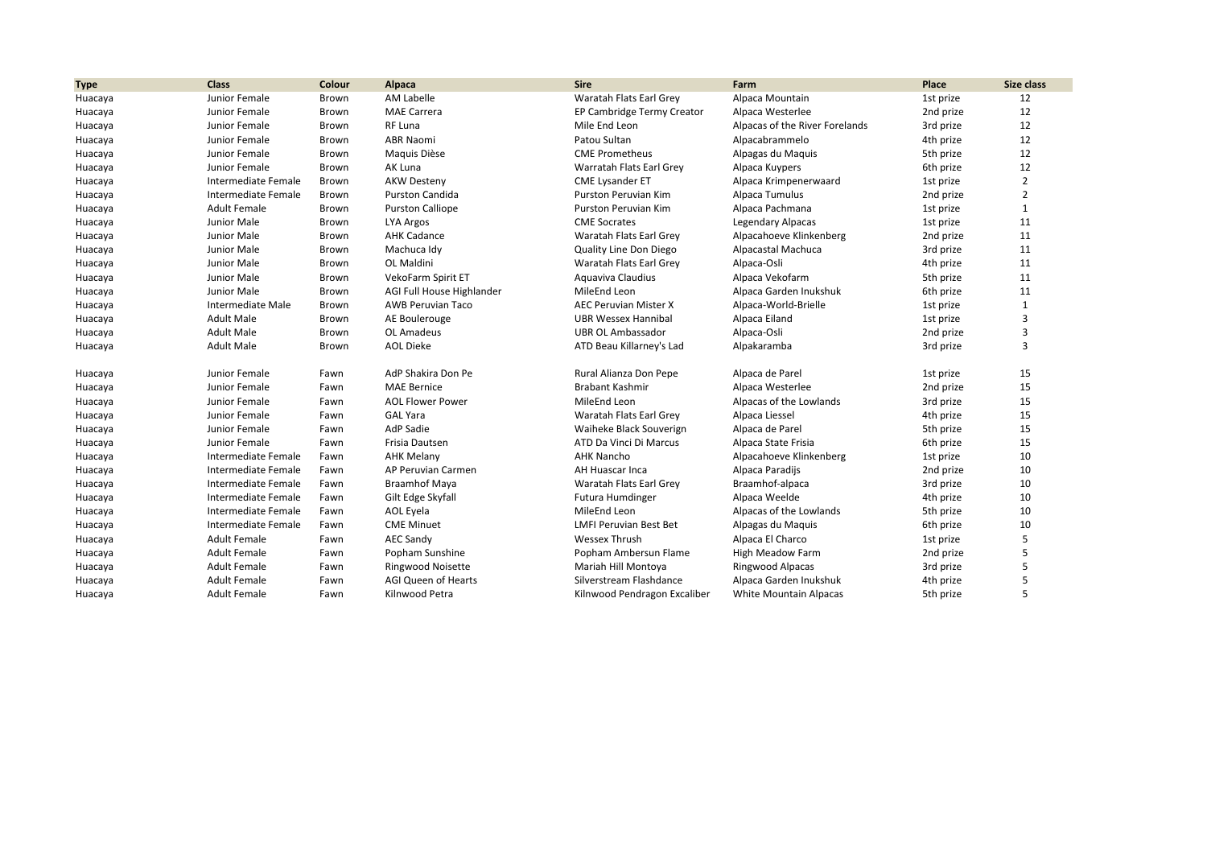| <b>Type</b> | <b>Class</b>        | Colour | Alpaca                     | <b>Sire</b>                   | Farm                           | Place     | Size class     |
|-------------|---------------------|--------|----------------------------|-------------------------------|--------------------------------|-----------|----------------|
| Huacaya     | Junior Female       | Brown  | AM Labelle                 | Waratah Flats Earl Grey       | Alpaca Mountain                | 1st prize | 12             |
| Huacaya     | Junior Female       | Brown  | <b>MAE Carrera</b>         | EP Cambridge Termy Creator    | Alpaca Westerlee               | 2nd prize | 12             |
| Huacaya     | Junior Female       | Brown  | RF Luna                    | Mile End Leon                 | Alpacas of the River Forelands | 3rd prize | 12             |
| Huacaya     | Junior Female       | Brown  | <b>ABR Naomi</b>           | Patou Sultan                  | Alpacabrammelo                 | 4th prize | 12             |
| Huacaya     | Junior Female       | Brown  | Maquis Dièse               | <b>CME Prometheus</b>         | Alpagas du Maquis              | 5th prize | 12             |
| Huacaya     | Junior Female       | Brown  | AK Luna                    | Warratah Flats Earl Grey      | Alpaca Kuypers                 | 6th prize | 12             |
| Huacaya     | Intermediate Female | Brown  | <b>AKW Desteny</b>         | <b>CME Lysander ET</b>        | Alpaca Krimpenerwaard          | 1st prize | $\overline{2}$ |
| Huacaya     | Intermediate Female | Brown  | Purston Candida            | Purston Peruvian Kim          | Alpaca Tumulus                 | 2nd prize | $\overline{2}$ |
| Huacaya     | <b>Adult Female</b> | Brown  | <b>Purston Calliope</b>    | Purston Peruvian Kim          | Alpaca Pachmana                | 1st prize | $\mathbf{1}$   |
| Huacaya     | Junior Male         | Brown  | LYA Argos                  | <b>CME Socrates</b>           | Legendary Alpacas              | 1st prize | 11             |
| Huacaya     | Junior Male         | Brown  | <b>AHK Cadance</b>         | Waratah Flats Earl Grey       | Alpacahoeve Klinkenberg        | 2nd prize | 11             |
| Huacaya     | Junior Male         | Brown  | Machuca Idy                | Quality Line Don Diego        | Alpacastal Machuca             | 3rd prize | 11             |
| Huacaya     | Junior Male         | Brown  | OL Maldini                 | Waratah Flats Earl Grey       | Alpaca-Osli                    | 4th prize | 11             |
| Huacaya     | Junior Male         | Brown  | VekoFarm Spirit ET         | Aquaviva Claudius             | Alpaca Vekofarm                | 5th prize | 11             |
| Huacaya     | Junior Male         | Brown  | AGI Full House Highlander  | MileEnd Leon                  | Alpaca Garden Inukshuk         | 6th prize | 11             |
| Huacaya     | Intermediate Male   | Brown  | <b>AWB Peruvian Taco</b>   | <b>AEC Peruvian Mister X</b>  | Alpaca-World-Brielle           | 1st prize | $\mathbf{1}$   |
| Huacaya     | <b>Adult Male</b>   | Brown  | AE Boulerouge              | <b>UBR Wessex Hannibal</b>    | Alpaca Eiland                  | 1st prize | $\mathbf{3}$   |
| Huacaya     | <b>Adult Male</b>   | Brown  | OL Amadeus                 | <b>UBR OL Ambassador</b>      | Alpaca-Osli                    | 2nd prize | $\overline{3}$ |
| Huacaya     | <b>Adult Male</b>   | Brown  | <b>AOL Dieke</b>           | ATD Beau Killarney's Lad      | Alpakaramba                    | 3rd prize | $\overline{3}$ |
| Huacaya     | Junior Female       | Fawn   | AdP Shakira Don Pe         | Rural Alianza Don Pepe        | Alpaca de Parel                | 1st prize | 15             |
| Huacaya     | Junior Female       | Fawn   | <b>MAE Bernice</b>         | <b>Brabant Kashmir</b>        | Alpaca Westerlee               | 2nd prize | 15             |
| Huacaya     | Junior Female       | Fawn   | <b>AOL Flower Power</b>    | MileEnd Leon                  | Alpacas of the Lowlands        | 3rd prize | 15             |
| Huacaya     | Junior Female       | Fawn   | <b>GAL Yara</b>            | Waratah Flats Earl Grey       | Alpaca Liessel                 | 4th prize | 15             |
| Huacaya     | Junior Female       | Fawn   | AdP Sadie                  | Waiheke Black Souverign       | Alpaca de Parel                | 5th prize | 15             |
| Huacaya     | Junior Female       | Fawn   | Frisia Dautsen             | ATD Da Vinci Di Marcus        | Alpaca State Frisia            | 6th prize | 15             |
| Huacaya     | Intermediate Female | Fawn   | <b>AHK Melany</b>          | <b>AHK Nancho</b>             | Alpacahoeve Klinkenberg        | 1st prize | 10             |
| Huacaya     | Intermediate Female | Fawn   | AP Peruvian Carmen         | AH Huascar Inca               | Alpaca Paradijs                | 2nd prize | 10             |
| Huacaya     | Intermediate Female | Fawn   | <b>Braamhof Maya</b>       | Waratah Flats Earl Grey       | Braamhof-alpaca                | 3rd prize | 10             |
| Huacaya     | Intermediate Female | Fawn   | Gilt Edge Skyfall          | Futura Humdinger              | Alpaca Weelde                  | 4th prize | 10             |
| Huacaya     | Intermediate Female | Fawn   | AOL Eyela                  | MileEnd Leon                  | Alpacas of the Lowlands        | 5th prize | 10             |
| Huacaya     | Intermediate Female | Fawn   | <b>CME Minuet</b>          | <b>LMFI Peruvian Best Bet</b> | Alpagas du Maquis              | 6th prize | 10             |
| Huacaya     | <b>Adult Female</b> | Fawn   | <b>AEC Sandy</b>           | Wessex Thrush                 | Alpaca El Charco               | 1st prize | 5              |
| Huacaya     | <b>Adult Female</b> | Fawn   | Popham Sunshine            | Popham Ambersun Flame         | <b>High Meadow Farm</b>        | 2nd prize | 5              |
| Huacaya     | <b>Adult Female</b> | Fawn   | <b>Ringwood Noisette</b>   | Mariah Hill Montoya           | Ringwood Alpacas               | 3rd prize | .5             |
| Huacaya     | <b>Adult Female</b> | Fawn   | <b>AGI Queen of Hearts</b> | Silverstream Flashdance       | Alpaca Garden Inukshuk         | 4th prize |                |
| Huacaya     | <b>Adult Female</b> | Fawn   | Kilnwood Petra             | Kilnwood Pendragon Excaliber  | <b>White Mountain Alpacas</b>  | 5th prize | 5              |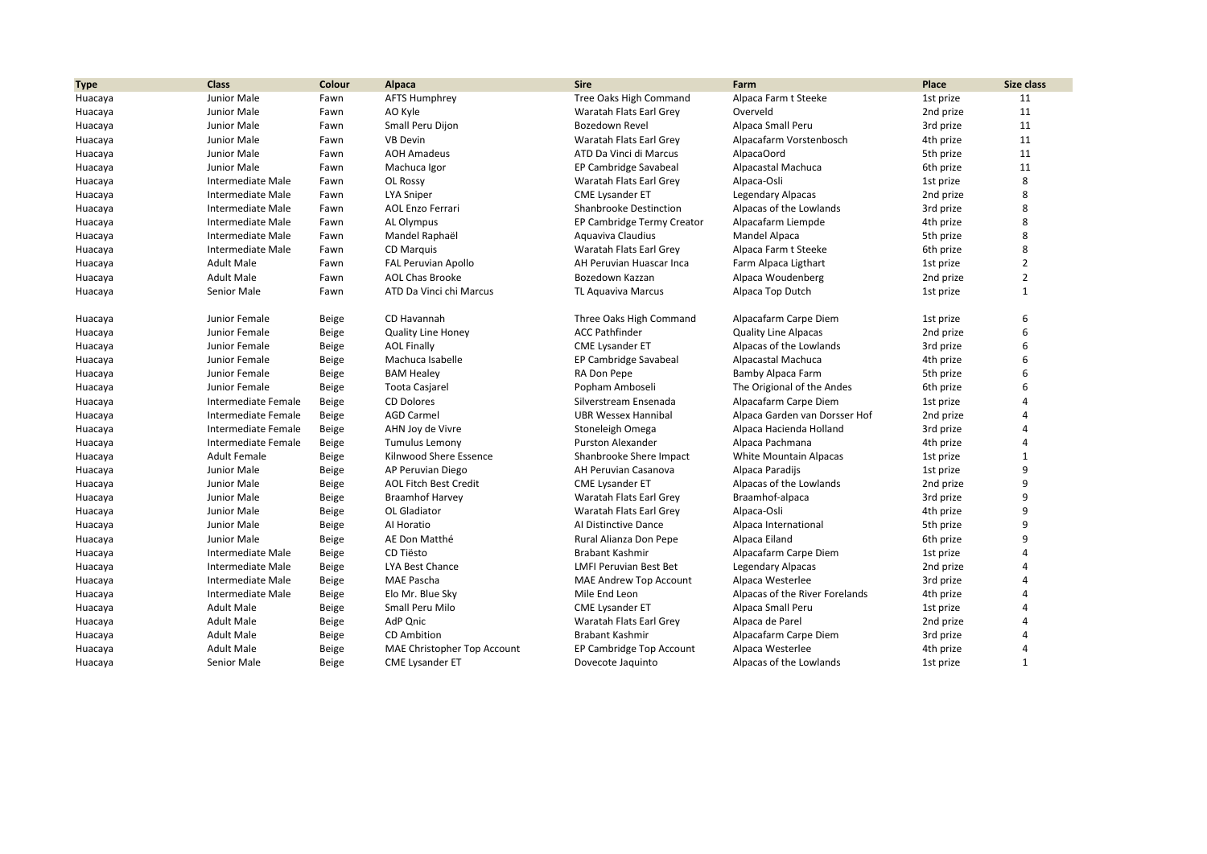| <b>Type</b> | <b>Class</b>        | Colour | Alpaca                       | <b>Sire</b>                   | Farm                           | Place     | Size class     |
|-------------|---------------------|--------|------------------------------|-------------------------------|--------------------------------|-----------|----------------|
| Huacaya     | Junior Male         | Fawn   | <b>AFTS Humphrey</b>         | Tree Oaks High Command        | Alpaca Farm t Steeke           | 1st prize | 11             |
| Huacaya     | Junior Male         | Fawn   | AO Kyle                      | Waratah Flats Earl Grey       | Overveld                       | 2nd prize | 11             |
| Huacaya     | Junior Male         | Fawn   | Small Peru Dijon             | Bozedown Revel                | Alpaca Small Peru              | 3rd prize | 11             |
| Huacaya     | Junior Male         | Fawn   | <b>VB Devin</b>              | Waratah Flats Earl Grey       | Alpacafarm Vorstenbosch        | 4th prize | 11             |
| Huacaya     | Junior Male         | Fawn   | <b>AOH Amadeus</b>           | ATD Da Vinci di Marcus        | AlpacaOord                     | 5th prize | 11             |
| Huacaya     | Junior Male         | Fawn   | Machuca Igor                 | EP Cambridge Savabeal         | Alpacastal Machuca             | 6th prize | 11             |
| Huacaya     | Intermediate Male   | Fawn   | OL Rossy                     | Waratah Flats Earl Grey       | Alpaca-Osli                    | 1st prize | 8              |
| Huacaya     | Intermediate Male   | Fawn   | <b>LYA Sniper</b>            | <b>CME Lysander ET</b>        | <b>Legendary Alpacas</b>       | 2nd prize | 8              |
| Huacaya     | Intermediate Male   | Fawn   | <b>AOL Enzo Ferrari</b>      | <b>Shanbrooke Destinction</b> | Alpacas of the Lowlands        | 3rd prize | 8              |
| Huacaya     | Intermediate Male   | Fawn   | AL Olympus                   | EP Cambridge Termy Creator    | Alpacafarm Liempde             | 4th prize | 8              |
| Huacaya     | Intermediate Male   | Fawn   | Mandel Raphaël               | Aquaviva Claudius             | Mandel Alpaca                  | 5th prize | 8              |
| Huacaya     | Intermediate Male   | Fawn   | CD Marquis                   | Waratah Flats Earl Grev       | Alpaca Farm t Steeke           | 6th prize | 8              |
| Huacaya     | <b>Adult Male</b>   | Fawn   | <b>FAL Peruvian Apollo</b>   | AH Peruvian Huascar Inca      | Farm Alpaca Ligthart           | 1st prize | $\overline{2}$ |
| Huacaya     | <b>Adult Male</b>   | Fawn   | <b>AOL Chas Brooke</b>       | Bozedown Kazzan               | Alpaca Woudenberg              | 2nd prize | $\overline{2}$ |
| Huacaya     | Senior Male         | Fawn   | ATD Da Vinci chi Marcus      | <b>TL Aquaviva Marcus</b>     | Alpaca Top Dutch               | 1st prize | $\mathbf{1}$   |
| Huacaya     | Junior Female       | Beige  | CD Havannah                  | Three Oaks High Command       | Alpacafarm Carpe Diem          | 1st prize | 6              |
| Huacaya     | Junior Female       | Beige  | <b>Quality Line Honey</b>    | <b>ACC Pathfinder</b>         | <b>Quality Line Alpacas</b>    | 2nd prize | 6              |
| Huacaya     | Junior Female       | Beige  | <b>AOL Finally</b>           | <b>CME Lysander ET</b>        | Alpacas of the Lowlands        | 3rd prize | 6              |
| Huacaya     | Junior Female       | Beige  | Machuca Isabelle             | EP Cambridge Savabeal         | Alpacastal Machuca             | 4th prize | 6              |
| Huacaya     | Junior Female       | Beige  | <b>BAM Healey</b>            | RA Don Pepe                   | Bamby Alpaca Farm              | 5th prize | 6              |
| Huacaya     | Junior Female       | Beige  | <b>Toota Casjarel</b>        | Popham Amboseli               | The Origional of the Andes     | 6th prize | 6              |
| Huacaya     | Intermediate Female | Beige  | <b>CD Dolores</b>            | Silverstream Ensenada         | Alpacafarm Carpe Diem          | 1st prize | 4              |
| Huacaya     | Intermediate Female | Beige  | <b>AGD Carmel</b>            | <b>UBR Wessex Hannibal</b>    | Alpaca Garden van Dorsser Hof  | 2nd prize | $\Lambda$      |
| Huacaya     | Intermediate Female | Beige  | AHN Joy de Vivre             | Stoneleigh Omega              | Alpaca Hacienda Holland        | 3rd prize | 4              |
| Huacaya     | Intermediate Female | Beige  | <b>Tumulus Lemony</b>        | Purston Alexander             | Alpaca Pachmana                | 4th prize | Δ              |
| Huacaya     | <b>Adult Female</b> | Beige  | Kilnwood Shere Essence       | Shanbrooke Shere Impact       | White Mountain Alpacas         | 1st prize | $\mathbf{1}$   |
| Huacaya     | Junior Male         | Beige  | AP Peruvian Diego            | AH Peruvian Casanova          | Alpaca Paradijs                | 1st prize | 9              |
| Huacaya     | Junior Male         | Beige  | <b>AOL Fitch Best Credit</b> | <b>CME Lysander ET</b>        | Alpacas of the Lowlands        | 2nd prize | 9              |
| Huacaya     | Junior Male         | Beige  | <b>Braamhof Harvey</b>       | Waratah Flats Earl Grey       | Braamhof-alpaca                | 3rd prize | 9              |
| Huacaya     | Junior Male         | Beige  | OL Gladiator                 | Waratah Flats Earl Grey       | Alpaca-Osli                    | 4th prize | 9              |
| Huacaya     | Junior Male         | Beige  | Al Horatio                   | Al Distinctive Dance          | Alpaca International           | 5th prize | q              |
| Huacaya     | Junior Male         | Beige  | AE Don Matthé                | Rural Alianza Don Pepe        | Alpaca Eiland                  | 6th prize | 9              |
| Huacaya     | Intermediate Male   | Beige  | CD Tiësto                    | <b>Brabant Kashmir</b>        | Alpacafarm Carpe Diem          | 1st prize |                |
| Huacaya     | Intermediate Male   | Beige  | LYA Best Chance              | <b>LMFI Peruvian Best Bet</b> | <b>Legendary Alpacas</b>       | 2nd prize | 4              |
| Huacaya     | Intermediate Male   | Beige  | <b>MAE Pascha</b>            | <b>MAE Andrew Top Account</b> | Alpaca Westerlee               | 3rd prize | Δ              |
| Huacaya     | Intermediate Male   | Beige  | Elo Mr. Blue Sky             | Mile End Leon                 | Alpacas of the River Forelands | 4th prize | 4              |
| Huacaya     | <b>Adult Male</b>   | Beige  | Small Peru Milo              | <b>CME Lysander ET</b>        | Alpaca Small Peru              | 1st prize | Δ              |
| Huacaya     | <b>Adult Male</b>   | Beige  | AdP Qnic                     | Waratah Flats Earl Grey       | Alpaca de Parel                | 2nd prize |                |
| Huacaya     | <b>Adult Male</b>   | Beige  | <b>CD</b> Ambition           | Brabant Kashmir               | Alpacafarm Carpe Diem          | 3rd prize |                |
| Huacaya     | <b>Adult Male</b>   | Beige  | MAE Christopher Top Account  | EP Cambridge Top Account      | Alpaca Westerlee               | 4th prize | 4              |
| Huacaya     | Senior Male         | Beige  | <b>CME Lysander ET</b>       | Dovecote Jaquinto             | Alpacas of the Lowlands        | 1st prize | $\mathbf{1}$   |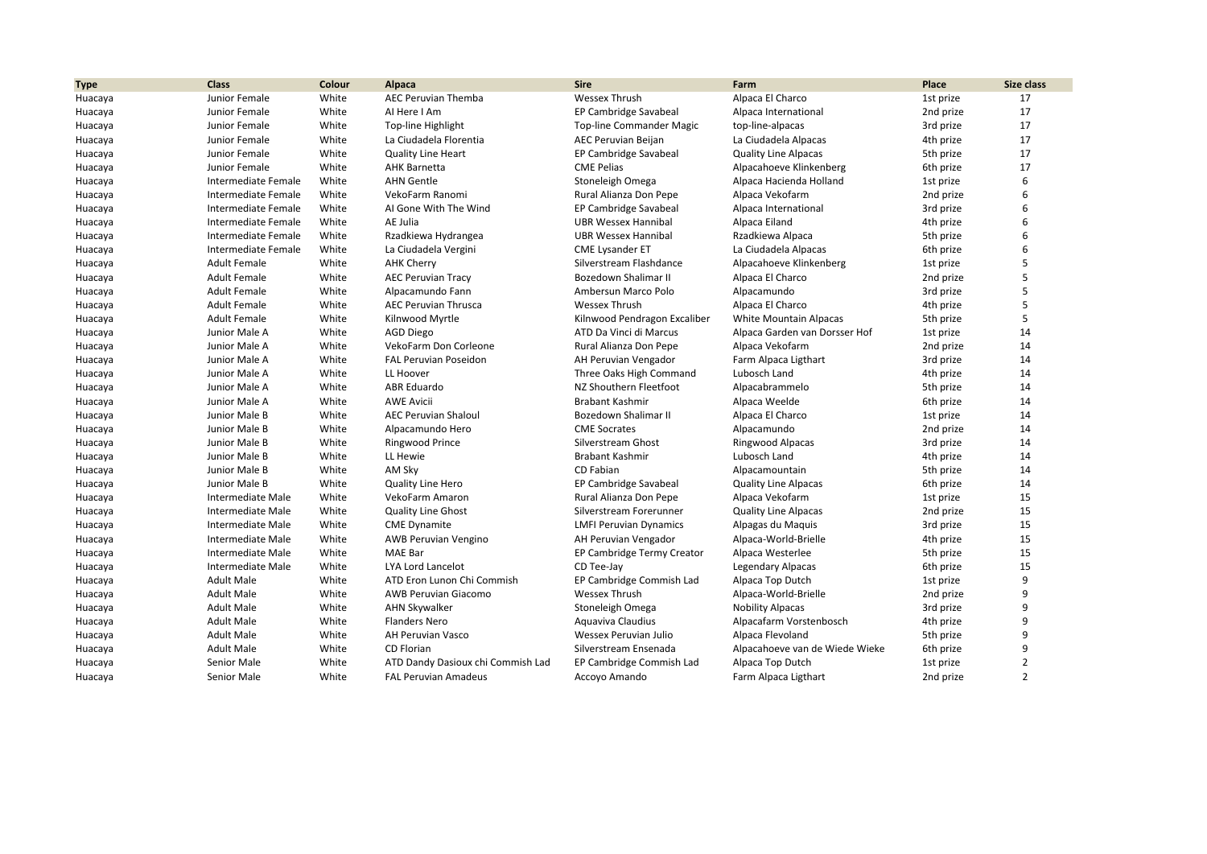| <b>Type</b> | <b>Class</b>        | Colour | Alpaca                            | <b>Sire</b>                     | Farm                           | Place     | <b>Size class</b> |
|-------------|---------------------|--------|-----------------------------------|---------------------------------|--------------------------------|-----------|-------------------|
| Huacaya     | Junior Female       | White  | <b>AEC Peruvian Themba</b>        | <b>Wessex Thrush</b>            | Alpaca El Charco               | 1st prize | 17                |
| Huacaya     | Junior Female       | White  | Al Here I Am                      | EP Cambridge Savabeal           | Alpaca International           | 2nd prize | 17                |
| Huacaya     | Junior Female       | White  | Top-line Highlight                | <b>Top-line Commander Magic</b> | top-line-alpacas               | 3rd prize | 17                |
| Huacaya     | Junior Female       | White  | La Ciudadela Florentia            | <b>AEC Peruvian Beijan</b>      | La Ciudadela Alpacas           | 4th prize | 17                |
| Huacaya     | Junior Female       | White  | <b>Quality Line Heart</b>         | EP Cambridge Savabeal           | <b>Quality Line Alpacas</b>    | 5th prize | 17                |
| Huacaya     | Junior Female       | White  | <b>AHK Barnetta</b>               | <b>CME Pelias</b>               | Alpacahoeve Klinkenberg        | 6th prize | 17                |
| Huacaya     | Intermediate Female | White  | <b>AHN Gentle</b>                 | Stoneleigh Omega                | Alpaca Hacienda Holland        | 1st prize | 6                 |
| Huacaya     | Intermediate Female | White  | VekoFarm Ranomi                   | Rural Alianza Don Pepe          | Alpaca Vekofarm                | 2nd prize | 6                 |
| Huacaya     | Intermediate Female | White  | AI Gone With The Wind             | EP Cambridge Savabeal           | Alpaca International           | 3rd prize | 6                 |
| Huacaya     | Intermediate Female | White  | AE Julia                          | <b>UBR Wessex Hannibal</b>      | Alpaca Eiland                  | 4th prize | 6                 |
| Huacaya     | Intermediate Female | White  | Rzadkiewa Hydrangea               | <b>UBR Wessex Hannibal</b>      | Rzadkiewa Alpaca               | 5th prize | 6                 |
| Huacaya     | Intermediate Female | White  | La Ciudadela Vergini              | <b>CME Lysander ET</b>          | La Ciudadela Alpacas           | 6th prize | 6                 |
| Huacaya     | <b>Adult Female</b> | White  | <b>AHK Cherry</b>                 | Silverstream Flashdance         | Alpacahoeve Klinkenberg        | 1st prize |                   |
| Huacaya     | <b>Adult Female</b> | White  | <b>AEC Peruvian Tracy</b>         | Bozedown Shalimar II            | Alpaca El Charco               | 2nd prize |                   |
| Huacaya     | <b>Adult Female</b> | White  | Alpacamundo Fann                  | Ambersun Marco Polo             | Alpacamundo                    | 3rd prize |                   |
| Huacaya     | <b>Adult Female</b> | White  | <b>AEC Peruvian Thrusca</b>       | <b>Wessex Thrush</b>            | Alpaca El Charco               | 4th prize | 5                 |
| Huacaya     | <b>Adult Female</b> | White  | Kilnwood Myrtle                   | Kilnwood Pendragon Excaliber    | <b>White Mountain Alpacas</b>  | 5th prize | 5                 |
| Huacaya     | Junior Male A       | White  | <b>AGD Diego</b>                  | ATD Da Vinci di Marcus          | Alpaca Garden van Dorsser Hof  | 1st prize | 14                |
| Huacaya     | Junior Male A       | White  | VekoFarm Don Corleone             | Rural Alianza Don Pepe          | Alpaca Vekofarm                | 2nd prize | 14                |
| Huacaya     | Junior Male A       | White  | <b>FAL Peruvian Poseidon</b>      | AH Peruvian Vengador            | Farm Alpaca Ligthart           | 3rd prize | 14                |
| Huacaya     | Junior Male A       | White  | LL Hoover                         | Three Oaks High Command         | Lubosch Land                   | 4th prize | 14                |
| Huacaya     | Junior Male A       | White  | <b>ABR</b> Eduardo                | NZ Shouthern Fleetfoot          | Alpacabrammelo                 | 5th prize | 14                |
| Huacaya     | Junior Male A       | White  | <b>AWE Avicii</b>                 | <b>Brabant Kashmir</b>          | Alpaca Weelde                  | 6th prize | 14                |
| Huacaya     | Junior Male B       | White  | <b>AEC Peruvian Shaloul</b>       | <b>Bozedown Shalimar II</b>     | Alpaca El Charco               | 1st prize | 14                |
| Huacaya     | Junior Male B       | White  | Alpacamundo Hero                  | <b>CME Socrates</b>             | Alpacamundo                    | 2nd prize | 14                |
| Huacaya     | Junior Male B       | White  | Ringwood Prince                   | Silverstream Ghost              | Ringwood Alpacas               | 3rd prize | 14                |
| Huacaya     | Junior Male B       | White  | LL Hewie                          | <b>Brabant Kashmir</b>          | Lubosch Land                   | 4th prize | 14                |
| Huacaya     | Junior Male B       | White  | AM Sky                            | CD Fabian                       | Alpacamountain                 | 5th prize | 14                |
| Huacaya     | Junior Male B       | White  | <b>Quality Line Hero</b>          | EP Cambridge Savabeal           | <b>Quality Line Alpacas</b>    | 6th prize | 14                |
| Huacaya     | Intermediate Male   | White  | VekoFarm Amaron                   | Rural Alianza Don Pepe          | Alpaca Vekofarm                | 1st prize | 15                |
| Huacaya     | Intermediate Male   | White  | <b>Quality Line Ghost</b>         | Silverstream Forerunner         | <b>Quality Line Alpacas</b>    | 2nd prize | 15                |
| Huacaya     | Intermediate Male   | White  | <b>CME Dynamite</b>               | <b>LMFI Peruvian Dynamics</b>   | Alpagas du Maguis              | 3rd prize | 15                |
| Huacaya     | Intermediate Male   | White  | <b>AWB Peruvian Vengino</b>       | AH Peruvian Vengador            | Alpaca-World-Brielle           | 4th prize | 15                |
| Huacaya     | Intermediate Male   | White  | MAE Bar                           | EP Cambridge Termy Creator      | Alpaca Westerlee               | 5th prize | 15                |
| Huacaya     | Intermediate Male   | White  | <b>LYA Lord Lancelot</b>          | CD Tee-Jay                      | <b>Legendary Alpacas</b>       | 6th prize | 15                |
| Huacaya     | <b>Adult Male</b>   | White  | ATD Eron Lunon Chi Commish        | EP Cambridge Commish Lad        | Alpaca Top Dutch               | 1st prize | 9                 |
| Huacaya     | <b>Adult Male</b>   | White  | <b>AWB Peruvian Giacomo</b>       | <b>Wessex Thrush</b>            | Alpaca-World-Brielle           | 2nd prize | q                 |
| Huacaya     | <b>Adult Male</b>   | White  | <b>AHN Skywalker</b>              | Stoneleigh Omega                | <b>Nobility Alpacas</b>        | 3rd prize | 9                 |
| Huacaya     | <b>Adult Male</b>   | White  | <b>Flanders Nero</b>              | Aquaviva Claudius               | Alpacafarm Vorstenbosch        | 4th prize | 9                 |
| Huacaya     | <b>Adult Male</b>   | White  | AH Peruvian Vasco                 | Wessex Peruvian Julio           | Alpaca Flevoland               | 5th prize | q                 |
| Huacaya     | <b>Adult Male</b>   | White  | CD Florian                        | Silverstream Ensenada           | Alpacahoeve van de Wiede Wieke | 6th prize | 9                 |
| Huacaya     | Senior Male         | White  | ATD Dandy Dasioux chi Commish Lad | EP Cambridge Commish Lad        | Alpaca Top Dutch               | 1st prize | $\overline{2}$    |
| Huacaya     | Senior Male         | White  | <b>FAL Peruvian Amadeus</b>       | Accoyo Amando                   | Farm Alpaca Ligthart           | 2nd prize | $\overline{2}$    |